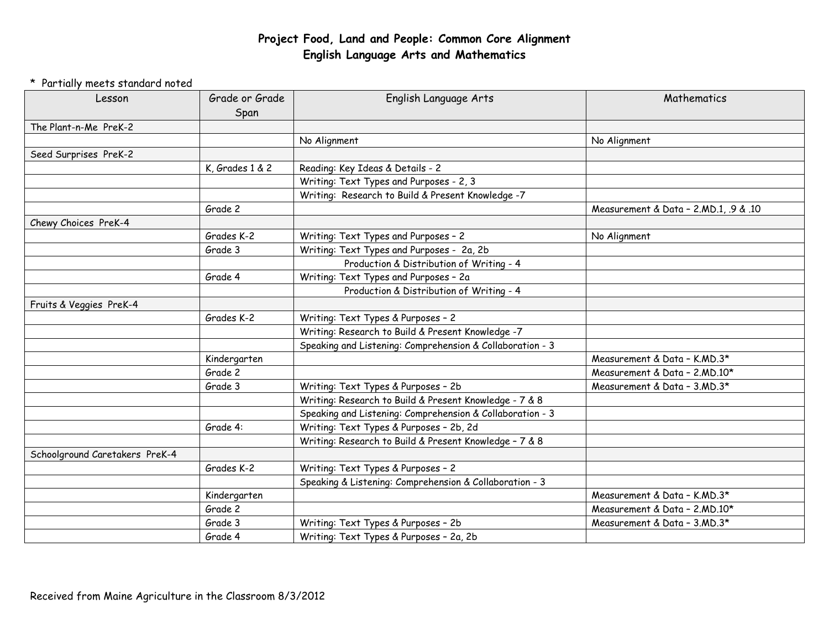## **Project Food, Land and People: Common Core Alignment English Language Arts and Mathematics**

## \* Partially meets standard noted

| Lesson                         | Grade or Grade<br>Span | English Language Arts                                     | Mathematics                           |
|--------------------------------|------------------------|-----------------------------------------------------------|---------------------------------------|
| The Plant-n-Me PreK-2          |                        |                                                           |                                       |
|                                |                        | No Alignment                                              | No Alignment                          |
| Seed Surprises PreK-2          |                        |                                                           |                                       |
|                                | K, Grades 1 & 2        | Reading: Key Ideas & Details - 2                          |                                       |
|                                |                        | Writing: Text Types and Purposes - 2, 3                   |                                       |
|                                |                        | Writing: Research to Build & Present Knowledge -7         |                                       |
|                                | Grade 2                |                                                           | Measurement & Data - 2.MD.1, .9 & .10 |
| Chewy Choices PreK-4           |                        |                                                           |                                       |
|                                | Grades K-2             | Writing: Text Types and Purposes - 2                      | No Alignment                          |
|                                | Grade 3                | Writing: Text Types and Purposes - 2a, 2b                 |                                       |
|                                |                        | Production & Distribution of Writing - 4                  |                                       |
|                                | Grade 4                | Writing: Text Types and Purposes - 2a                     |                                       |
|                                |                        | Production & Distribution of Writing - 4                  |                                       |
| Fruits & Veggies PreK-4        |                        |                                                           |                                       |
|                                | Grades K-2             | Writing: Text Types & Purposes - 2                        |                                       |
|                                |                        | Writing: Research to Build & Present Knowledge -7         |                                       |
|                                |                        | Speaking and Listening: Comprehension & Collaboration - 3 |                                       |
|                                | Kindergarten           |                                                           | Measurement & Data - K.MD.3*          |
|                                | Grade 2                |                                                           | Measurement & Data - 2.MD.10*         |
|                                | Grade 3                | Writing: Text Types & Purposes - 2b                       | Measurement & Data - 3.MD.3*          |
|                                |                        | Writing: Research to Build & Present Knowledge - 7 & 8    |                                       |
|                                |                        | Speaking and Listening: Comprehension & Collaboration - 3 |                                       |
|                                | Grade 4:               | Writing: Text Types & Purposes - 2b, 2d                   |                                       |
|                                |                        | Writing: Research to Build & Present Knowledge - 7 & 8    |                                       |
| Schoolground Caretakers PreK-4 |                        |                                                           |                                       |
|                                | Grades K-2             | Writing: Text Types & Purposes - 2                        |                                       |
|                                |                        | Speaking & Listening: Comprehension & Collaboration - 3   |                                       |
|                                | Kindergarten           |                                                           | Measurement & Data - K.MD.3*          |
|                                | Grade 2                |                                                           | Measurement & Data - 2, MD.10*        |
|                                | Grade 3                | Writing: Text Types & Purposes - 2b                       | Measurement & Data - 3.MD.3*          |
|                                | Grade 4                | Writing: Text Types & Purposes - 2a, 2b                   |                                       |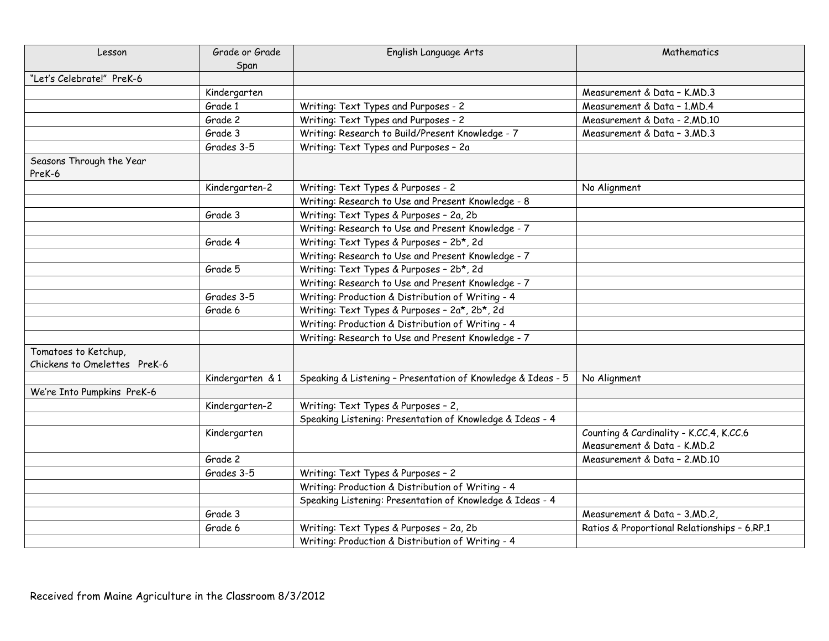| Lesson                                               | Grade or Grade   | English Language Arts                                        | Mathematics                                                            |
|------------------------------------------------------|------------------|--------------------------------------------------------------|------------------------------------------------------------------------|
|                                                      | Span             |                                                              |                                                                        |
| "Let's Celebrate!" PreK-6                            |                  |                                                              |                                                                        |
|                                                      | Kindergarten     |                                                              | Measurement & Data - K.MD.3                                            |
|                                                      | Grade 1          | Writing: Text Types and Purposes - 2                         | Measurement & Data - 1.MD.4                                            |
|                                                      | Grade 2          | Writing: Text Types and Purposes - 2                         | Measurement & Data - 2.MD.10                                           |
|                                                      | Grade 3          | Writing: Research to Build/Present Knowledge - 7             | Measurement & Data - 3.MD.3                                            |
|                                                      | Grades 3-5       | Writing: Text Types and Purposes - 2a                        |                                                                        |
| Seasons Through the Year<br>PreK-6                   |                  |                                                              |                                                                        |
|                                                      | Kindergarten-2   | Writing: Text Types & Purposes - 2                           | No Alignment                                                           |
|                                                      |                  | Writing: Research to Use and Present Knowledge - 8           |                                                                        |
|                                                      | Grade 3          | Writing: Text Types & Purposes - 2a, 2b                      |                                                                        |
|                                                      |                  | Writing: Research to Use and Present Knowledge - 7           |                                                                        |
|                                                      | Grade 4          | Writing: Text Types & Purposes - 2b*, 2d                     |                                                                        |
|                                                      |                  | Writing: Research to Use and Present Knowledge - 7           |                                                                        |
|                                                      | Grade 5          | Writing: Text Types & Purposes - 2b*, 2d                     |                                                                        |
|                                                      |                  | Writing: Research to Use and Present Knowledge - 7           |                                                                        |
|                                                      | Grades 3-5       | Writing: Production & Distribution of Writing - 4            |                                                                        |
|                                                      | Grade 6          | Writing: Text Types & Purposes - 2a*, 2b*, 2d                |                                                                        |
|                                                      |                  | Writing: Production & Distribution of Writing - 4            |                                                                        |
|                                                      |                  | Writing: Research to Use and Present Knowledge - 7           |                                                                        |
| Tomatoes to Ketchup,<br>Chickens to Omelettes PreK-6 |                  |                                                              |                                                                        |
|                                                      | Kindergarten & 1 | Speaking & Listening - Presentation of Knowledge & Ideas - 5 | No Alignment                                                           |
| We're Into Pumpkins PreK-6                           |                  |                                                              |                                                                        |
|                                                      | Kindergarten-2   | Writing: Text Types & Purposes - 2,                          |                                                                        |
|                                                      |                  | Speaking Listening: Presentation of Knowledge & Ideas - 4    |                                                                        |
|                                                      | Kindergarten     |                                                              | Counting & Cardinality - K.CC.4, K.CC.6<br>Measurement & Data - K.MD.2 |
|                                                      | Grade 2          |                                                              | Measurement & Data - 2.MD.10                                           |
|                                                      | Grades 3-5       | Writing: Text Types & Purposes - 2                           |                                                                        |
|                                                      |                  | Writing: Production & Distribution of Writing - 4            |                                                                        |
|                                                      |                  | Speaking Listening: Presentation of Knowledge & Ideas - 4    |                                                                        |
|                                                      | Grade 3          |                                                              | Measurement & Data - 3.MD.2,                                           |
|                                                      | Grade 6          | Writing: Text Types & Purposes - 2a, 2b                      | Ratios & Proportional Relationships - 6.RP.1                           |
|                                                      |                  | Writing: Production & Distribution of Writing - 4            |                                                                        |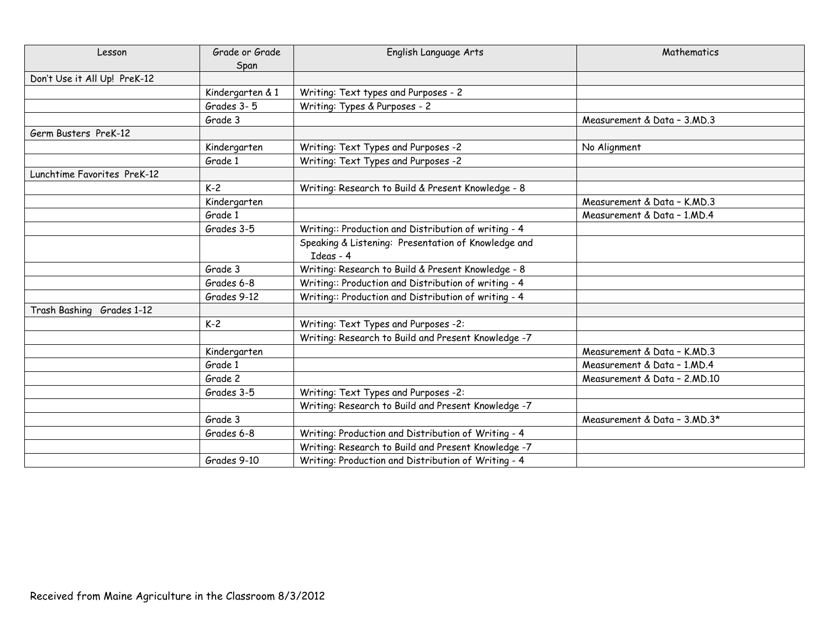| Lesson                       | Grade or Grade   | English Language Arts                                | Mathematics                  |
|------------------------------|------------------|------------------------------------------------------|------------------------------|
|                              | Span             |                                                      |                              |
| Don't Use it All Up! PreK-12 |                  |                                                      |                              |
|                              | Kindergarten & 1 | Writing: Text types and Purposes - 2                 |                              |
|                              | Grades 3-5       | Writing: Types & Purposes - 2                        |                              |
|                              | Grade 3          |                                                      | Measurement & Data - 3, MD.3 |
| Germ Busters PreK-12         |                  |                                                      |                              |
|                              | Kindergarten     | Writing: Text Types and Purposes -2                  | No Alignment                 |
|                              | Grade 1          | Writing: Text Types and Purposes -2                  |                              |
| Lunchtime Favorites PreK-12  |                  |                                                      |                              |
|                              | $K-2$            | Writing: Research to Build & Present Knowledge - 8   |                              |
|                              | Kindergarten     |                                                      | Measurement & Data - K.MD.3  |
|                              | Grade 1          |                                                      | Measurement & Data - 1, MD.4 |
|                              | Grades 3-5       | Writing:: Production and Distribution of writing - 4 |                              |
|                              |                  | Speaking & Listening: Presentation of Knowledge and  |                              |
|                              |                  | Ideas - 4                                            |                              |
|                              | Grade 3          | Writing: Research to Build & Present Knowledge - 8   |                              |
|                              | Grades 6-8       | Writing:: Production and Distribution of writing - 4 |                              |
|                              | Grades 9-12      | Writing:: Production and Distribution of writing - 4 |                              |
| Trash Bashing Grades 1-12    |                  |                                                      |                              |
|                              | $K-2$            | Writing: Text Types and Purposes -2:                 |                              |
|                              |                  | Writing: Research to Build and Present Knowledge -7  |                              |
|                              | Kindergarten     |                                                      | Measurement & Data - K.MD.3  |
|                              | Grade 1          |                                                      | Measurement & Data - 1, MD.4 |
|                              | Grade 2          |                                                      | Measurement & Data - 2.MD.10 |
|                              | Grades 3-5       | Writing: Text Types and Purposes -2:                 |                              |
|                              |                  | Writing: Research to Build and Present Knowledge -7  |                              |
|                              | Grade 3          |                                                      | Measurement & Data - 3.MD.3* |
|                              | Grades 6-8       | Writing: Production and Distribution of Writing - 4  |                              |
|                              |                  | Writing: Research to Build and Present Knowledge -7  |                              |
|                              | Grades 9-10      | Writing: Production and Distribution of Writing - 4  |                              |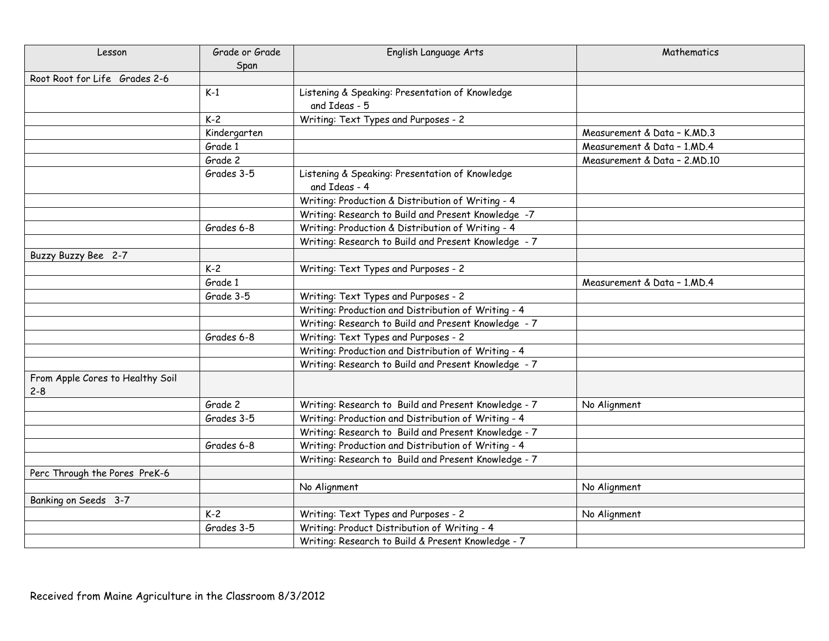| Lesson                                      | Grade or Grade | English Language Arts                                            | Mathematics                   |
|---------------------------------------------|----------------|------------------------------------------------------------------|-------------------------------|
|                                             | Span           |                                                                  |                               |
| Root Root for Life Grades 2-6               |                |                                                                  |                               |
|                                             | $K-1$          | Listening & Speaking: Presentation of Knowledge                  |                               |
|                                             |                | and Ideas - 5                                                    |                               |
|                                             | $K-2$          | Writing: Text Types and Purposes - 2                             |                               |
|                                             | Kindergarten   |                                                                  | Measurement & Data - K.MD.3   |
|                                             | Grade 1        |                                                                  | Measurement & Data - 1.MD.4   |
|                                             | Grade 2        |                                                                  | Measurement & Data - 2, MD.10 |
|                                             | Grades 3-5     | Listening & Speaking: Presentation of Knowledge<br>and Ideas - 4 |                               |
|                                             |                | Writing: Production & Distribution of Writing - 4                |                               |
|                                             |                | Writing: Research to Build and Present Knowledge -7              |                               |
|                                             | Grades 6-8     | Writing: Production & Distribution of Writing - 4                |                               |
|                                             |                | Writing: Research to Build and Present Knowledge - 7             |                               |
| Buzzy Buzzy Bee 2-7                         |                |                                                                  |                               |
|                                             | $K-2$          | Writing: Text Types and Purposes - 2                             |                               |
|                                             | Grade 1        |                                                                  | Measurement & Data - 1.MD.4   |
|                                             | Grade 3-5      | Writing: Text Types and Purposes - 2                             |                               |
|                                             |                | Writing: Production and Distribution of Writing - 4              |                               |
|                                             |                | Writing: Research to Build and Present Knowledge - 7             |                               |
|                                             | Grades 6-8     | Writing: Text Types and Purposes - 2                             |                               |
|                                             |                | Writing: Production and Distribution of Writing - 4              |                               |
|                                             |                | Writing: Research to Build and Present Knowledge - 7             |                               |
| From Apple Cores to Healthy Soil<br>$2 - 8$ |                |                                                                  |                               |
|                                             | Grade 2        | Writing: Research to Build and Present Knowledge - 7             | No Alignment                  |
|                                             | Grades 3-5     | Writing: Production and Distribution of Writing - 4              |                               |
|                                             |                | Writing: Research to Build and Present Knowledge - 7             |                               |
|                                             | Grades 6-8     | Writing: Production and Distribution of Writing - 4              |                               |
|                                             |                | Writing: Research to Build and Present Knowledge - 7             |                               |
| Perc Through the Pores PreK-6               |                |                                                                  |                               |
|                                             |                | No Alignment                                                     | No Alignment                  |
| Banking on Seeds 3-7                        |                |                                                                  |                               |
|                                             | $K-2$          | Writing: Text Types and Purposes - 2                             | No Alignment                  |
|                                             | Grades 3-5     | Writing: Product Distribution of Writing - 4                     |                               |
|                                             |                | Writing: Research to Build & Present Knowledge - 7               |                               |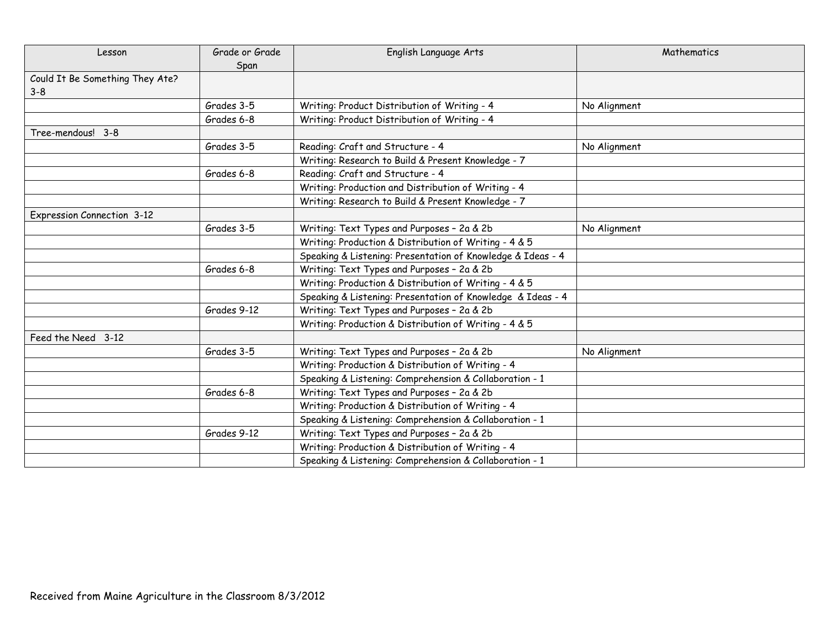| Lesson                          | Grade or Grade | English Language Arts                                       | Mathematics  |
|---------------------------------|----------------|-------------------------------------------------------------|--------------|
|                                 | Span           |                                                             |              |
| Could It Be Something They Ate? |                |                                                             |              |
| $3 - 8$                         |                |                                                             |              |
|                                 | Grades 3-5     | Writing: Product Distribution of Writing - 4                | No Alignment |
|                                 | Grades 6-8     | Writing: Product Distribution of Writing - 4                |              |
| Tree-mendous! 3-8               |                |                                                             |              |
|                                 | Grades 3-5     | Reading: Craft and Structure - 4                            | No Alignment |
|                                 |                | Writing: Research to Build & Present Knowledge - 7          |              |
|                                 | Grades 6-8     | Reading: Craft and Structure - 4                            |              |
|                                 |                | Writing: Production and Distribution of Writing - 4         |              |
|                                 |                | Writing: Research to Build & Present Knowledge - 7          |              |
| Expression Connection 3-12      |                |                                                             |              |
|                                 | Grades 3-5     | Writing: Text Types and Purposes - 2a & 2b                  | No Alignment |
|                                 |                | Writing: Production & Distribution of Writing - 4 & 5       |              |
|                                 |                | Speaking & Listening: Presentation of Knowledge & Ideas - 4 |              |
|                                 | Grades 6-8     | Writing: Text Types and Purposes - 2a & 2b                  |              |
|                                 |                | Writing: Production & Distribution of Writing - 4 & 5       |              |
|                                 |                | Speaking & Listening: Presentation of Knowledge & Ideas - 4 |              |
|                                 | Grades 9-12    | Writing: Text Types and Purposes - 2a & 2b                  |              |
|                                 |                | Writing: Production & Distribution of Writing - 4 & 5       |              |
| Feed the Need 3-12              |                |                                                             |              |
|                                 | Grades 3-5     | Writing: Text Types and Purposes - 2a & 2b                  | No Alignment |
|                                 |                | Writing: Production & Distribution of Writing - 4           |              |
|                                 |                | Speaking & Listening: Comprehension & Collaboration - 1     |              |
|                                 | Grades 6-8     | Writing: Text Types and Purposes - 2a & 2b                  |              |
|                                 |                | Writing: Production & Distribution of Writing - 4           |              |
|                                 |                | Speaking & Listening: Comprehension & Collaboration - 1     |              |
|                                 | Grades 9-12    | Writing: Text Types and Purposes - 2a & 2b                  |              |
|                                 |                | Writing: Production & Distribution of Writing - 4           |              |
|                                 |                | Speaking & Listening: Comprehension & Collaboration - 1     |              |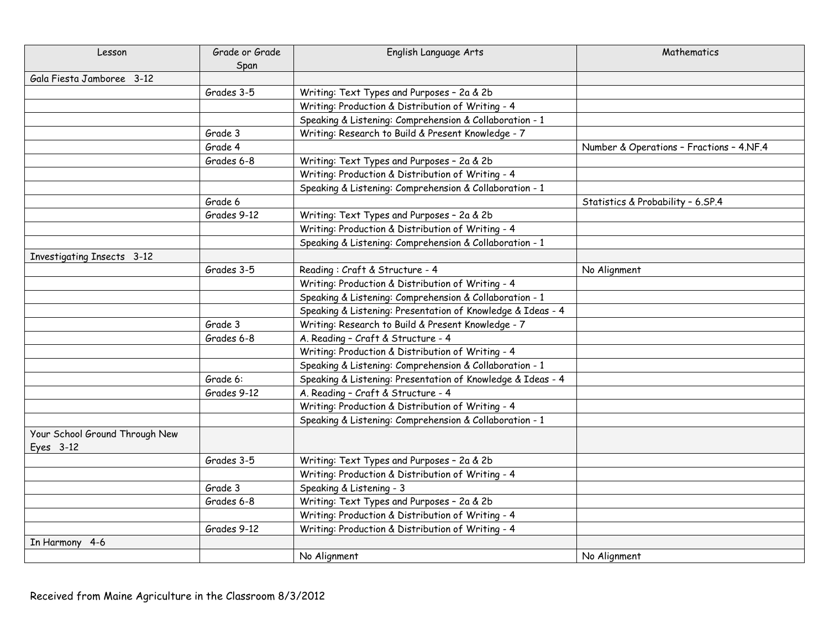| Lesson                                      | Grade or Grade | English Language Arts                                       | Mathematics                              |
|---------------------------------------------|----------------|-------------------------------------------------------------|------------------------------------------|
|                                             | Span           |                                                             |                                          |
| Gala Fiesta Jamboree 3-12                   |                |                                                             |                                          |
|                                             | Grades 3-5     | Writing: Text Types and Purposes - 2a & 2b                  |                                          |
|                                             |                | Writing: Production & Distribution of Writing - 4           |                                          |
|                                             |                | Speaking & Listening: Comprehension & Collaboration - 1     |                                          |
|                                             | Grade 3        | Writing: Research to Build & Present Knowledge - 7          |                                          |
|                                             | Grade 4        |                                                             | Number & Operations - Fractions - 4.NF.4 |
|                                             | Grades 6-8     | Writing: Text Types and Purposes - 2a & 2b                  |                                          |
|                                             |                | Writing: Production & Distribution of Writing - 4           |                                          |
|                                             |                | Speaking & Listening: Comprehension & Collaboration - 1     |                                          |
|                                             | Grade 6        |                                                             | Statistics & Probability - 6.SP.4        |
|                                             | Grades 9-12    | Writing: Text Types and Purposes - 2a & 2b                  |                                          |
|                                             |                | Writing: Production & Distribution of Writing - 4           |                                          |
|                                             |                | Speaking & Listening: Comprehension & Collaboration - 1     |                                          |
| <b>Investigating Insects 3-12</b>           |                |                                                             |                                          |
|                                             | Grades 3-5     | Reading: Craft & Structure - 4                              | No Alignment                             |
|                                             |                | Writing: Production & Distribution of Writing - 4           |                                          |
|                                             |                | Speaking & Listening: Comprehension & Collaboration - 1     |                                          |
|                                             |                | Speaking & Listening: Presentation of Knowledge & Ideas - 4 |                                          |
|                                             | Grade 3        | Writing: Research to Build & Present Knowledge - 7          |                                          |
|                                             | Grades 6-8     | A. Reading - Craft & Structure - 4                          |                                          |
|                                             |                | Writing: Production & Distribution of Writing - 4           |                                          |
|                                             |                | Speaking & Listening: Comprehension & Collaboration - 1     |                                          |
|                                             | Grade 6:       | Speaking & Listening: Presentation of Knowledge & Ideas - 4 |                                          |
|                                             | Grades 9-12    | A. Reading - Craft & Structure - 4                          |                                          |
|                                             |                | Writing: Production & Distribution of Writing - 4           |                                          |
|                                             |                | Speaking & Listening: Comprehension & Collaboration - 1     |                                          |
| Your School Ground Through New<br>Eyes 3-12 |                |                                                             |                                          |
|                                             | Grades 3-5     | Writing: Text Types and Purposes - 2a & 2b                  |                                          |
|                                             |                | Writing: Production & Distribution of Writing - 4           |                                          |
|                                             | Grade 3        | Speaking & Listening - 3                                    |                                          |
|                                             | Grades 6-8     | Writing: Text Types and Purposes - 2a & 2b                  |                                          |
|                                             |                | Writing: Production & Distribution of Writing - 4           |                                          |
|                                             | Grades 9-12    | Writing: Production & Distribution of Writing - 4           |                                          |
| In Harmony 4-6                              |                |                                                             |                                          |
|                                             |                | No Alianment                                                | No Alianment                             |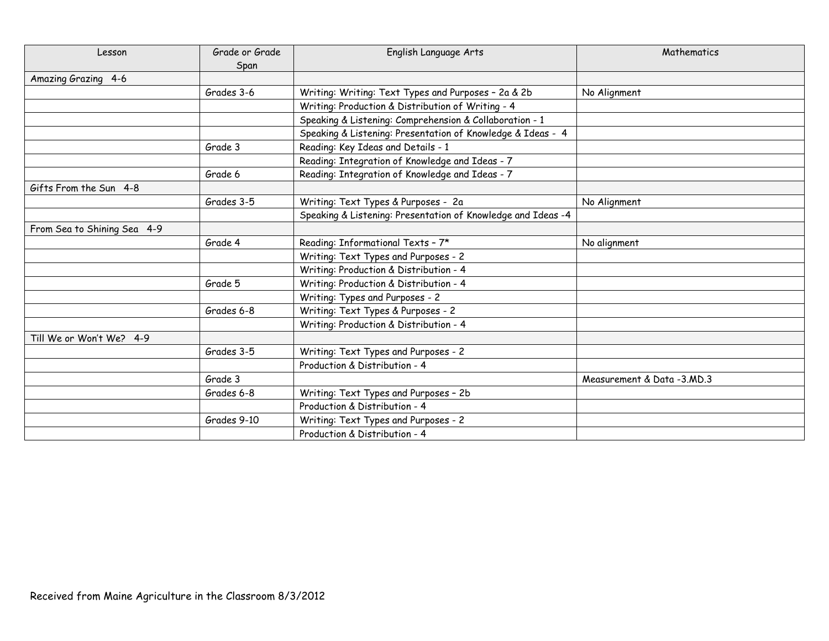| Lesson                      | Grade or Grade | English Language Arts                                        | Mathematics                |
|-----------------------------|----------------|--------------------------------------------------------------|----------------------------|
|                             | Span           |                                                              |                            |
| Amazing Grazing 4-6         |                |                                                              |                            |
|                             | Grades 3-6     | Writing: Writing: Text Types and Purposes - 2a & 2b          | No Alignment               |
|                             |                | Writing: Production & Distribution of Writing - 4            |                            |
|                             |                | Speaking & Listening: Comprehension & Collaboration - 1      |                            |
|                             |                | Speaking & Listening: Presentation of Knowledge & Ideas - 4  |                            |
|                             | Grade 3        | Reading: Key Ideas and Details - 1                           |                            |
|                             |                | Reading: Integration of Knowledge and Ideas - 7              |                            |
|                             | Grade 6        | Reading: Integration of Knowledge and Ideas - 7              |                            |
| Gifts From the Sun 4-8      |                |                                                              |                            |
|                             | Grades 3-5     | Writing: Text Types & Purposes - 2a                          | No Alignment               |
|                             |                | Speaking & Listening: Presentation of Knowledge and Ideas -4 |                            |
| From Sea to Shining Sea 4-9 |                |                                                              |                            |
|                             | Grade 4        | Reading: Informational Texts - 7*                            | No alignment               |
|                             |                | Writing: Text Types and Purposes - 2                         |                            |
|                             |                | Writing: Production & Distribution - 4                       |                            |
|                             | Grade 5        | Writing: Production & Distribution - 4                       |                            |
|                             |                | Writing: Types and Purposes - 2                              |                            |
|                             | Grades 6-8     | Writing: Text Types & Purposes - 2                           |                            |
|                             |                | Writing: Production & Distribution - 4                       |                            |
| Till We or Won't We? 4-9    |                |                                                              |                            |
|                             | Grades 3-5     | Writing: Text Types and Purposes - 2                         |                            |
|                             |                | Production & Distribution - 4                                |                            |
|                             | Grade 3        |                                                              | Measurement & Data -3.MD.3 |
|                             | Grades 6-8     | Writing: Text Types and Purposes - 2b                        |                            |
|                             |                | Production & Distribution - 4                                |                            |
|                             | Grades 9-10    | Writing: Text Types and Purposes - 2                         |                            |
|                             |                | Production & Distribution - 4                                |                            |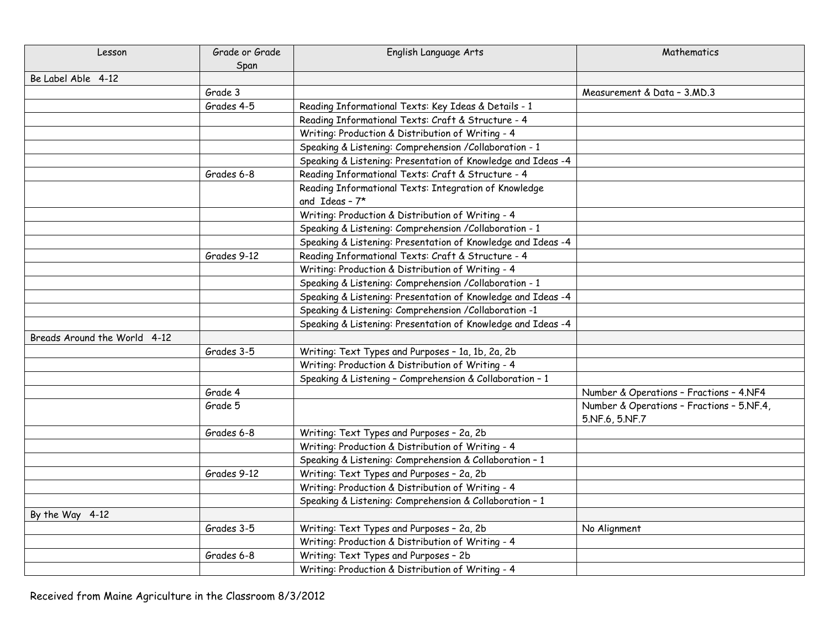| Lesson                       | Grade or Grade | English Language Arts                                                   | Mathematics                                                 |
|------------------------------|----------------|-------------------------------------------------------------------------|-------------------------------------------------------------|
|                              | Span           |                                                                         |                                                             |
| Be Label Able 4-12           |                |                                                                         |                                                             |
|                              | Grade 3        |                                                                         | Measurement & Data - 3.MD.3                                 |
|                              | Grades 4-5     | Reading Informational Texts: Key Ideas & Details - 1                    |                                                             |
|                              |                | Reading Informational Texts: Craft & Structure - 4                      |                                                             |
|                              |                | Writing: Production & Distribution of Writing - 4                       |                                                             |
|                              |                | Speaking & Listening: Comprehension / Collaboration - 1                 |                                                             |
|                              |                | Speaking & Listening: Presentation of Knowledge and Ideas -4            |                                                             |
|                              | Grades 6-8     | Reading Informational Texts: Craft & Structure - 4                      |                                                             |
|                              |                | Reading Informational Texts: Integration of Knowledge<br>and Ideas - 7* |                                                             |
|                              |                | Writing: Production & Distribution of Writing - 4                       |                                                             |
|                              |                | Speaking & Listening: Comprehension / Collaboration - 1                 |                                                             |
|                              |                | Speaking & Listening: Presentation of Knowledge and Ideas -4            |                                                             |
|                              | Grades 9-12    | Reading Informational Texts: Craft & Structure - 4                      |                                                             |
|                              |                | Writing: Production & Distribution of Writing - 4                       |                                                             |
|                              |                | Speaking & Listening: Comprehension / Collaboration - 1                 |                                                             |
|                              |                | Speaking & Listening: Presentation of Knowledge and Ideas -4            |                                                             |
|                              |                | Speaking & Listening: Comprehension /Collaboration -1                   |                                                             |
|                              |                | Speaking & Listening: Presentation of Knowledge and Ideas -4            |                                                             |
| Breads Around the World 4-12 |                |                                                                         |                                                             |
|                              | Grades 3-5     | Writing: Text Types and Purposes - 1a, 1b, 2a, 2b                       |                                                             |
|                              |                | Writing: Production & Distribution of Writing - 4                       |                                                             |
|                              |                | Speaking & Listening - Comprehension & Collaboration - 1                |                                                             |
|                              | Grade 4        |                                                                         | Number & Operations - Fractions - 4.NF4                     |
|                              | Grade 5        |                                                                         | Number & Operations - Fractions - 5.NF.4,<br>5.NF.6, 5.NF.7 |
|                              | Grades 6-8     | Writing: Text Types and Purposes - 2a, 2b                               |                                                             |
|                              |                | Writing: Production & Distribution of Writing - 4                       |                                                             |
|                              |                | Speaking & Listening: Comprehension & Collaboration - 1                 |                                                             |
|                              | Grades 9-12    | Writing: Text Types and Purposes - 2a, 2b                               |                                                             |
|                              |                | Writing: Production & Distribution of Writing - 4                       |                                                             |
|                              |                | Speaking & Listening: Comprehension & Collaboration - 1                 |                                                             |
| By the Way 4-12              |                |                                                                         |                                                             |
|                              | Grades 3-5     | Writing: Text Types and Purposes - 2a, 2b                               | No Alignment                                                |
|                              |                | Writing: Production & Distribution of Writing - 4                       |                                                             |
|                              | Grades 6-8     | Writing: Text Types and Purposes - 2b                                   |                                                             |
|                              |                | Writing: Production & Distribution of Writing - 4                       |                                                             |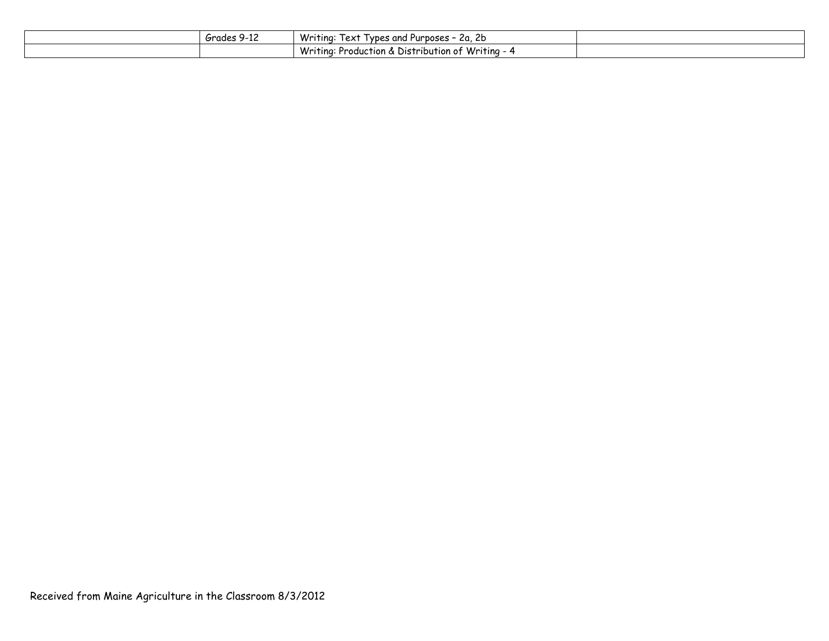| zrades 9<br>7-IL | Writing:<br>I vpes and Purposes -<br>1ex1<br>-2a. ZD               |  |
|------------------|--------------------------------------------------------------------|--|
|                  | $\rightarrow$ Production & Distribution of Writing - 4<br>Writina: |  |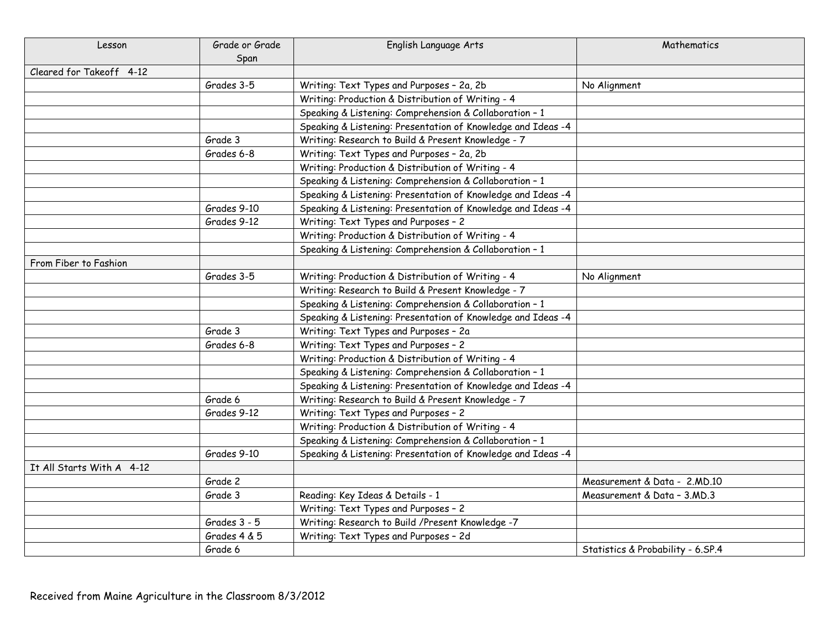| Lesson                    | Grade or Grade | English Language Arts                                        | Mathematics                       |
|---------------------------|----------------|--------------------------------------------------------------|-----------------------------------|
|                           | Span           |                                                              |                                   |
| Cleared for Takeoff 4-12  |                |                                                              |                                   |
|                           | Grades 3-5     | Writing: Text Types and Purposes - 2a, 2b                    | No Alignment                      |
|                           |                | Writing: Production & Distribution of Writing - 4            |                                   |
|                           |                | Speaking & Listening: Comprehension & Collaboration - 1      |                                   |
|                           |                | Speaking & Listening: Presentation of Knowledge and Ideas -4 |                                   |
|                           | Grade 3        | Writing: Research to Build & Present Knowledge - 7           |                                   |
|                           | Grades 6-8     | Writing: Text Types and Purposes - 2a, 2b                    |                                   |
|                           |                | Writing: Production & Distribution of Writing - 4            |                                   |
|                           |                | Speaking & Listening: Comprehension & Collaboration - 1      |                                   |
|                           |                | Speaking & Listening: Presentation of Knowledge and Ideas -4 |                                   |
|                           | Grades 9-10    | Speaking & Listening: Presentation of Knowledge and Ideas -4 |                                   |
|                           | Grades 9-12    | Writing: Text Types and Purposes - 2                         |                                   |
|                           |                | Writing: Production & Distribution of Writing - 4            |                                   |
|                           |                | Speaking & Listening: Comprehension & Collaboration - 1      |                                   |
| From Fiber to Fashion     |                |                                                              |                                   |
|                           | Grades 3-5     | Writing: Production & Distribution of Writing - 4            | No Alignment                      |
|                           |                | Writing: Research to Build & Present Knowledge - 7           |                                   |
|                           |                | Speaking & Listening: Comprehension & Collaboration - 1      |                                   |
|                           |                | Speaking & Listening: Presentation of Knowledge and Ideas -4 |                                   |
|                           | Grade 3        | Writing: Text Types and Purposes - 2a                        |                                   |
|                           | Grades 6-8     | Writing: Text Types and Purposes - 2                         |                                   |
|                           |                | Writing: Production & Distribution of Writing - 4            |                                   |
|                           |                | Speaking & Listening: Comprehension & Collaboration - 1      |                                   |
|                           |                | Speaking & Listening: Presentation of Knowledge and Ideas -4 |                                   |
|                           | Grade 6        | Writing: Research to Build & Present Knowledge - 7           |                                   |
|                           | Grades 9-12    | Writing: Text Types and Purposes - 2                         |                                   |
|                           |                | Writing: Production & Distribution of Writing - 4            |                                   |
|                           |                | Speaking & Listening: Comprehension & Collaboration - 1      |                                   |
|                           | Grades 9-10    | Speaking & Listening: Presentation of Knowledge and Ideas -4 |                                   |
| It All Starts With A 4-12 |                |                                                              |                                   |
|                           | Grade 2        |                                                              | Measurement & Data - 2.MD.10      |
|                           | Grade 3        | Reading: Key Ideas & Details - 1                             | Measurement & Data - 3.MD.3       |
|                           |                | Writing: Text Types and Purposes - 2                         |                                   |
|                           | Grades 3 - 5   | Writing: Research to Build / Present Knowledge -7            |                                   |
|                           | Grades 4 & 5   | Writing: Text Types and Purposes - 2d                        |                                   |
|                           | Grade 6        |                                                              | Statistics & Probability - 6.SP.4 |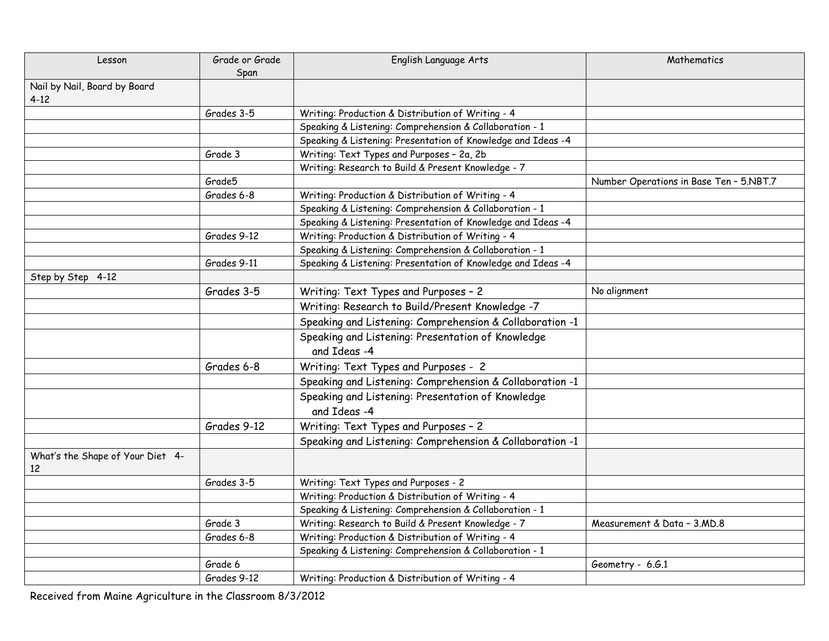| Lesson                                   | Grade or Grade<br>Span | English Language Arts                                        | Mathematics                             |
|------------------------------------------|------------------------|--------------------------------------------------------------|-----------------------------------------|
| Nail by Nail, Board by Board<br>$4 - 12$ |                        |                                                              |                                         |
|                                          | Grades 3-5             | Writing: Production & Distribution of Writing - 4            |                                         |
|                                          |                        | Speaking & Listening: Comprehension & Collaboration - 1      |                                         |
|                                          |                        | Speaking & Listening: Presentation of Knowledge and Ideas -4 |                                         |
|                                          | Grade 3                | Writing: Text Types and Purposes - 2a, 2b                    |                                         |
|                                          |                        | Writing: Research to Build & Present Knowledge - 7           |                                         |
|                                          | Grade <sub>5</sub>     |                                                              | Number Operations in Base Ten - 5.NBT.7 |
|                                          | Grades 6-8             | Writing: Production & Distribution of Writing - 4            |                                         |
|                                          |                        | Speaking & Listening: Comprehension & Collaboration - 1      |                                         |
|                                          |                        | Speaking & Listening: Presentation of Knowledge and Ideas -4 |                                         |
|                                          | Grades 9-12            | Writing: Production & Distribution of Writing - 4            |                                         |
|                                          |                        | Speaking & Listening: Comprehension & Collaboration - 1      |                                         |
|                                          | Grades 9-11            | Speaking & Listening: Presentation of Knowledge and Ideas -4 |                                         |
| Step by Step 4-12                        |                        |                                                              |                                         |
|                                          | Grades 3-5             | Writing: Text Types and Purposes - 2                         | No alignment                            |
|                                          |                        | Writing: Research to Build/Present Knowledge -7              |                                         |
|                                          |                        | Speaking and Listening: Comprehension & Collaboration -1     |                                         |
|                                          |                        | Speaking and Listening: Presentation of Knowledge            |                                         |
|                                          |                        | and Ideas -4                                                 |                                         |
|                                          | Grades 6-8             | Writing: Text Types and Purposes - 2                         |                                         |
|                                          |                        | Speaking and Listening: Comprehension & Collaboration -1     |                                         |
|                                          |                        | Speaking and Listening: Presentation of Knowledge            |                                         |
|                                          |                        | and Ideas -4                                                 |                                         |
|                                          | Grades 9-12            | Writing: Text Types and Purposes - 2                         |                                         |
|                                          |                        | Speaking and Listening: Comprehension & Collaboration -1     |                                         |
| What's the Shape of Your Diet 4-<br>12   |                        |                                                              |                                         |
|                                          | Grades 3-5             | Writing: Text Types and Purposes - 2                         |                                         |
|                                          |                        | Writing: Production & Distribution of Writing - 4            |                                         |
|                                          |                        | Speaking & Listening: Comprehension & Collaboration - 1      |                                         |
|                                          | Grade 3                | Writing: Research to Build & Present Knowledge - 7           | Measurement & Data - 3.MD.8             |
|                                          | Grades 6-8             | Writing: Production & Distribution of Writing - 4            |                                         |
|                                          |                        | Speaking & Listening: Comprehension & Collaboration - 1      |                                         |
|                                          | Grade 6                |                                                              | Geometry - 6.G.1                        |
|                                          | Grades 9-12            | Writing: Production & Distribution of Writing - 4            |                                         |

Received from Maine Agriculture in the Classroom 8/3/2012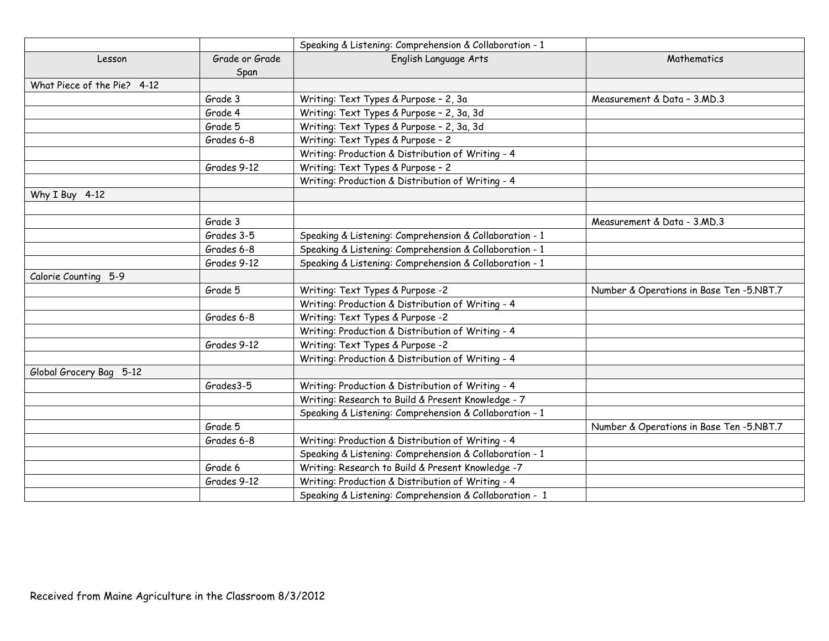|                             |                | Speaking & Listening: Comprehension & Collaboration - 1 |                                          |
|-----------------------------|----------------|---------------------------------------------------------|------------------------------------------|
| Lesson                      | Grade or Grade | English Language Arts                                   | Mathematics                              |
|                             | Span           |                                                         |                                          |
| What Piece of the Pie? 4-12 |                |                                                         |                                          |
|                             | Grade 3        | Writing: Text Types & Purpose - 2, 3a                   | Measurement & Data - 3.MD.3              |
|                             | Grade 4        | Writing: Text Types & Purpose - 2, 3a, 3d               |                                          |
|                             | Grade 5        | Writing: Text Types & Purpose - 2, 3a, 3d               |                                          |
|                             | Grades 6-8     | Writing: Text Types & Purpose - 2                       |                                          |
|                             |                | Writing: Production & Distribution of Writing - 4       |                                          |
|                             | Grades 9-12    | Writing: Text Types & Purpose - 2                       |                                          |
|                             |                | Writing: Production & Distribution of Writing - 4       |                                          |
| Why I Buy 4-12              |                |                                                         |                                          |
|                             |                |                                                         |                                          |
|                             | Grade 3        |                                                         | Measurement & Data - 3.MD.3              |
|                             | Grades 3-5     | Speaking & Listening: Comprehension & Collaboration - 1 |                                          |
|                             | Grades 6-8     | Speaking & Listening: Comprehension & Collaboration - 1 |                                          |
|                             | Grades 9-12    | Speaking & Listening: Comprehension & Collaboration - 1 |                                          |
| Calorie Counting 5-9        |                |                                                         |                                          |
|                             | Grade 5        | Writing: Text Types & Purpose -2                        | Number & Operations in Base Ten -5.NBT.7 |
|                             |                | Writing: Production & Distribution of Writing - 4       |                                          |
|                             | Grades 6-8     | Writing: Text Types & Purpose -2                        |                                          |
|                             |                | Writing: Production & Distribution of Writing - 4       |                                          |
|                             | Grades 9-12    | Writing: Text Types & Purpose -2                        |                                          |
|                             |                | Writing: Production & Distribution of Writing - 4       |                                          |
| Global Grocery Bag 5-12     |                |                                                         |                                          |
|                             | Grades3-5      | Writing: Production & Distribution of Writing - 4       |                                          |
|                             |                | Writing: Research to Build & Present Knowledge - 7      |                                          |
|                             |                | Speaking & Listening: Comprehension & Collaboration - 1 |                                          |
|                             | Grade 5        |                                                         | Number & Operations in Base Ten -5.NBT.7 |
|                             | Grades 6-8     | Writing: Production & Distribution of Writing - 4       |                                          |
|                             |                | Speaking & Listening: Comprehension & Collaboration - 1 |                                          |
|                             | Grade 6        | Writing: Research to Build & Present Knowledge -7       |                                          |
|                             | Grades 9-12    | Writing: Production & Distribution of Writing - 4       |                                          |
|                             |                | Speaking & Listening: Comprehension & Collaboration - 1 |                                          |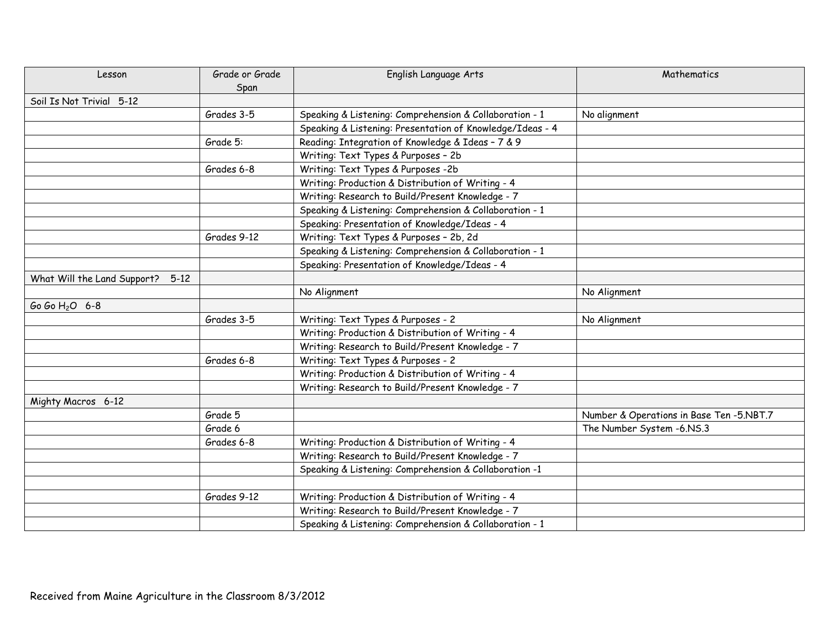| Lesson                           | Grade or Grade | English Language Arts                                     | Mathematics                              |
|----------------------------------|----------------|-----------------------------------------------------------|------------------------------------------|
|                                  | Span           |                                                           |                                          |
| Soil Is Not Trivial 5-12         |                |                                                           |                                          |
|                                  | Grades 3-5     | Speaking & Listening: Comprehension & Collaboration - 1   | No alignment                             |
|                                  |                | Speaking & Listening: Presentation of Knowledge/Ideas - 4 |                                          |
|                                  | Grade 5:       | Reading: Integration of Knowledge & Ideas - 7 & 9         |                                          |
|                                  |                | Writing: Text Types & Purposes - 2b                       |                                          |
|                                  | Grades 6-8     | Writing: Text Types & Purposes -2b                        |                                          |
|                                  |                | Writing: Production & Distribution of Writing - 4         |                                          |
|                                  |                | Writing: Research to Build/Present Knowledge - 7          |                                          |
|                                  |                | Speaking & Listening: Comprehension & Collaboration - 1   |                                          |
|                                  |                | Speaking: Presentation of Knowledge/Ideas - 4             |                                          |
|                                  | Grades 9-12    | Writing: Text Types & Purposes - 2b, 2d                   |                                          |
|                                  |                | Speaking & Listening: Comprehension & Collaboration - 1   |                                          |
|                                  |                | Speaking: Presentation of Knowledge/Ideas - 4             |                                          |
| What Will the Land Support? 5-12 |                |                                                           |                                          |
|                                  |                | No Alignment                                              | No Alignment                             |
| Go Go H <sub>2</sub> O 6-8       |                |                                                           |                                          |
|                                  | Grades 3-5     | Writing: Text Types & Purposes - 2                        | No Alignment                             |
|                                  |                | Writing: Production & Distribution of Writing - 4         |                                          |
|                                  |                | Writing: Research to Build/Present Knowledge - 7          |                                          |
|                                  | Grades 6-8     | Writing: Text Types & Purposes - 2                        |                                          |
|                                  |                | Writing: Production & Distribution of Writing - 4         |                                          |
|                                  |                | Writing: Research to Build/Present Knowledge - 7          |                                          |
| Mighty Macros 6-12               |                |                                                           |                                          |
|                                  | Grade 5        |                                                           | Number & Operations in Base Ten -5.NBT.7 |
|                                  | Grade 6        |                                                           | The Number System -6.NS.3                |
|                                  | Grades 6-8     | Writing: Production & Distribution of Writing - 4         |                                          |
|                                  |                | Writing: Research to Build/Present Knowledge - 7          |                                          |
|                                  |                | Speaking & Listening: Comprehension & Collaboration -1    |                                          |
|                                  |                |                                                           |                                          |
|                                  | Grades 9-12    | Writing: Production & Distribution of Writing - 4         |                                          |
|                                  |                | Writing: Research to Build/Present Knowledge - 7          |                                          |
|                                  |                | Speaking & Listening: Comprehension & Collaboration - 1   |                                          |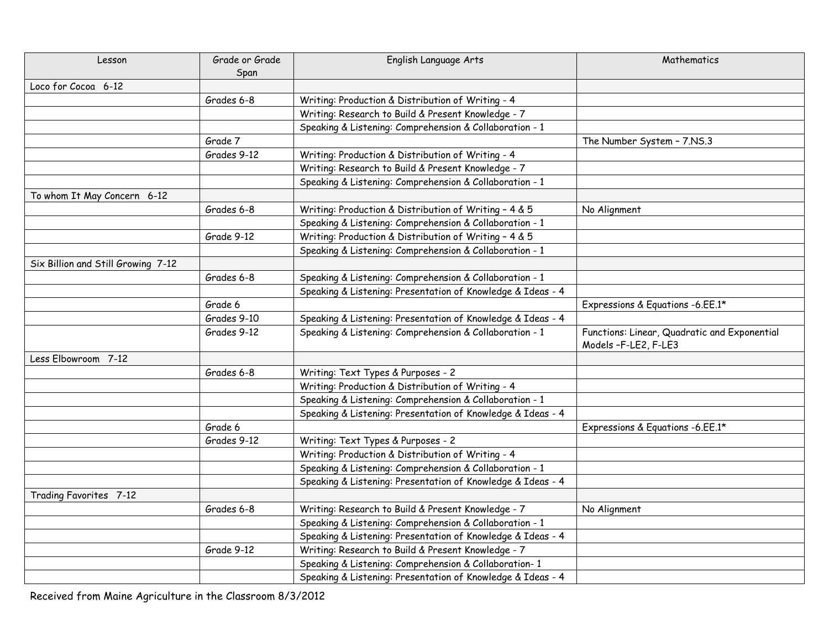| Lesson                             | Grade or Grade | English Language Arts                                       | Mathematics                                  |
|------------------------------------|----------------|-------------------------------------------------------------|----------------------------------------------|
|                                    | Span           |                                                             |                                              |
| Loco for Cocoa 6-12                |                |                                                             |                                              |
|                                    | Grades 6-8     | Writing: Production & Distribution of Writing - 4           |                                              |
|                                    |                | Writing: Research to Build & Present Knowledge - 7          |                                              |
|                                    |                | Speaking & Listening: Comprehension & Collaboration - 1     |                                              |
|                                    | Grade 7        |                                                             | The Number System - 7.NS.3                   |
|                                    | Grades 9-12    | Writing: Production & Distribution of Writing - 4           |                                              |
|                                    |                | Writing: Research to Build & Present Knowledge - 7          |                                              |
|                                    |                | Speaking & Listening: Comprehension & Collaboration - 1     |                                              |
| To whom It May Concern 6-12        |                |                                                             |                                              |
|                                    | Grades 6-8     | Writing: Production & Distribution of Writing - 4 & 5       | No Alignment                                 |
|                                    |                | Speaking & Listening: Comprehension & Collaboration - 1     |                                              |
|                                    | Grade 9-12     | Writing: Production & Distribution of Writing - 4 & 5       |                                              |
|                                    |                | Speaking & Listening: Comprehension & Collaboration - 1     |                                              |
| Six Billion and Still Growing 7-12 |                |                                                             |                                              |
|                                    | Grades 6-8     | Speaking & Listening: Comprehension & Collaboration - 1     |                                              |
|                                    |                | Speaking & Listening: Presentation of Knowledge & Ideas - 4 |                                              |
|                                    | Grade 6        |                                                             | Expressions & Equations -6.EE.1*             |
|                                    | Grades 9-10    | Speaking & Listening: Presentation of Knowledge & Ideas - 4 |                                              |
|                                    | Grades 9-12    | Speaking & Listening: Comprehension & Collaboration - 1     | Functions: Linear, Quadratic and Exponential |
|                                    |                |                                                             | Models-F-LE2, F-LE3                          |
| Less Elbowroom 7-12                |                |                                                             |                                              |
|                                    | Grades 6-8     | Writing: Text Types & Purposes - 2                          |                                              |
|                                    |                | Writing: Production & Distribution of Writing - 4           |                                              |
|                                    |                | Speaking & Listening: Comprehension & Collaboration - 1     |                                              |
|                                    |                | Speaking & Listening: Presentation of Knowledge & Ideas - 4 |                                              |
|                                    | Grade 6        |                                                             | Expressions & Equations -6.EE.1*             |
|                                    | Grades 9-12    | Writing: Text Types & Purposes - 2                          |                                              |
|                                    |                | Writing: Production & Distribution of Writing - 4           |                                              |
|                                    |                | Speaking & Listening: Comprehension & Collaboration - 1     |                                              |
|                                    |                | Speaking & Listening: Presentation of Knowledge & Ideas - 4 |                                              |
| Trading Favorites 7-12             |                |                                                             |                                              |
|                                    | Grades 6-8     | Writing: Research to Build & Present Knowledge - 7          | No Alignment                                 |
|                                    |                | Speaking & Listening: Comprehension & Collaboration - 1     |                                              |
|                                    |                | Speaking & Listening: Presentation of Knowledge & Ideas - 4 |                                              |
|                                    | Grade 9-12     | Writing: Research to Build & Present Knowledge - 7          |                                              |
|                                    |                | Speaking & Listening: Comprehension & Collaboration-1       |                                              |
|                                    |                | Speaking & Listening: Presentation of Knowledge & Ideas - 4 |                                              |

Received from Maine Agriculture in the Classroom 8/3/2012